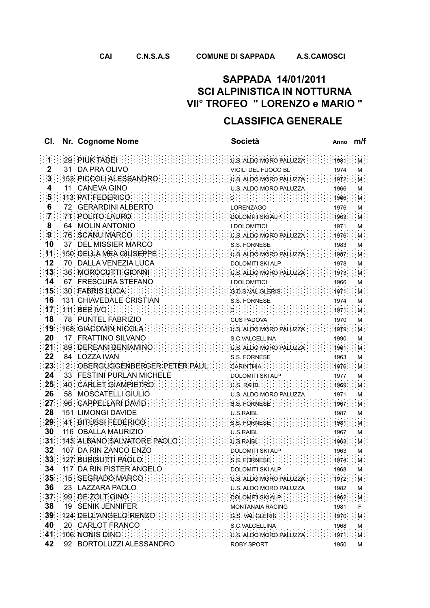## **CLASSIFICA GENERALE**

| CI.             | Nr. Cognome Nome                                                                                                                                                                                                                                                                 | Società                                                                                                                                                               | Anno <b>m/f</b>   |                   |
|-----------------|----------------------------------------------------------------------------------------------------------------------------------------------------------------------------------------------------------------------------------------------------------------------------------|-----------------------------------------------------------------------------------------------------------------------------------------------------------------------|-------------------|-------------------|
|                 | $29$ PIUK TADEI                                                                                                                                                                                                                                                                  | U.S. ALDO MORO PALUZZA                                                                                                                                                | 1981              |                   |
|                 | 31 DA PRA OLIVO                                                                                                                                                                                                                                                                  | VIGILI DEL FUOCO BL                                                                                                                                                   | 1974              | м                 |
|                 | 153: PICCOLI ALESSANDRO                                                                                                                                                                                                                                                          | :U:S:ALDO:MORO PALUZZA:                                                                                                                                               | 1972              | M.                |
| 4               | 11 CANEVA GINO                                                                                                                                                                                                                                                                   | U.S. ALDO MORO PALUZZA                                                                                                                                                | 1966              | м                 |
| 5 <sub>1</sub>  | 113 PAT FEDERICO                                                                                                                                                                                                                                                                 |                                                                                                                                                                       | 1966              | Μ.                |
| 6               | 72 GERARDINI ALBERTO                                                                                                                                                                                                                                                             | <b>LORENZAGO</b>                                                                                                                                                      | 1976              | М                 |
| $7 -$           | $\frac{1}{2}$ ?1 POLITO LAURO                                                                                                                                                                                                                                                    | DOLOMITI SKI ALP                                                                                                                                                      | 1963              | $M$ :             |
| 8               | 64 MOLIN ANTONIO                                                                                                                                                                                                                                                                 | I DOLOMITICI                                                                                                                                                          | 1971              | М                 |
| 9 <sup>1</sup>  | 76 SCANU MARCO                                                                                                                                                                                                                                                                   | U.S. ALDO MORO PALUZZA                                                                                                                                                | 1976              | M                 |
| 10              | 37 DEL MISSIER MARCO                                                                                                                                                                                                                                                             | S.S. FORNESE                                                                                                                                                          | 1983              | м                 |
|                 | 11 150 DELLA MEA GIUSEPPE.                                                                                                                                                                                                                                                       | U.S. ALDO MORO PALUZZA                                                                                                                                                | $\therefore$ 1987 | M                 |
| 12              | 70 DALLA VENEZIA LUCA                                                                                                                                                                                                                                                            | <b>DOLOMITI SKI ALP</b>                                                                                                                                               | 1978              | M                 |
| 13 <sup>1</sup> | 36 MOROCUTTI GIONNI                                                                                                                                                                                                                                                              | U.S. ALDO MORO PALUZZA                                                                                                                                                | 1973              | $\mathsf{M}$ .    |
| 14              | 67 FRESCURA STEFANO                                                                                                                                                                                                                                                              | <b>I DOLOMITICI</b>                                                                                                                                                   | 1966              | м                 |
| 15 <sub>1</sub> | 30 FABRIS LUCA                                                                                                                                                                                                                                                                   | G.D.S.VAL GLERIS                                                                                                                                                      | 1971              | Μ.                |
| 16              | 131 CHIAVEDALE CRISTIAN                                                                                                                                                                                                                                                          | S.S. FORNESE                                                                                                                                                          | 1974              | м                 |
|                 | 17:111. BEE:NO:111                                                                                                                                                                                                                                                               | $0.1$ . The set of $0.1$                                                                                                                                              | 1971              | M                 |
| 18              | 78 PUNTEL FABRIZIO                                                                                                                                                                                                                                                               | <b>CUS PADOVA</b>                                                                                                                                                     | 1970              | м                 |
|                 | 19 168 GIACOMIN NICOLA :                                                                                                                                                                                                                                                         | U.S. ALDO MORO PALUZZA                                                                                                                                                | 1979              | M.                |
| 20              | 17 FRATTINO SILVANO                                                                                                                                                                                                                                                              | S.C.VALCELLINA                                                                                                                                                        | 1990              | М                 |
| 21              | 89 DEREANI BENIAMINO                                                                                                                                                                                                                                                             | $\cdots$ : $\cdots$ : $\cup$ s aldo moro paluzza : :                                                                                                                  | 1961              | M                 |
| 22              | 84 LOZZA IVAN                                                                                                                                                                                                                                                                    | S.S. FORNESE                                                                                                                                                          | 1963              | м                 |
| 24              | 23 : : 2 : OBERGUGGENBERGER PETER PAUL :<br>33 FESTINI PURLAN MICHELE                                                                                                                                                                                                            | CARINTHIA :                                                                                                                                                           | 1976              | M                 |
| 25              | 40 CARLET GIAMPIETRO                                                                                                                                                                                                                                                             | <b>DOLOMITI SKI ALP</b>                                                                                                                                               | 1977              | м                 |
| 26              | 58 MOSCATELLI GIULIO                                                                                                                                                                                                                                                             | U.S. RAIBL<br>U.S. ALDO MORO PALUZZA                                                                                                                                  | 1969<br>1971      | M.                |
| 27 <sub>1</sub> | 96 : CAPPELLARI DAVID :                                                                                                                                                                                                                                                          | S.S. FORNESE                                                                                                                                                          | 1967              | м<br>M.           |
| 28              | 151 LIMONGI DAVIDE                                                                                                                                                                                                                                                               | <b>U.S.RAIBL</b>                                                                                                                                                      | 1987              | М                 |
| 29              | 41 BITUSSI FEDERICO                                                                                                                                                                                                                                                              | S S FORNESE                                                                                                                                                           | 1981              | $\cdot$ M $\cdot$ |
| 30              | 116 OBALLA MAURIZIO                                                                                                                                                                                                                                                              | U.S.RAIBL                                                                                                                                                             | 1967              | м                 |
| 31              | $143.$ ALBANO SALVATORE PAOLO                                                                                                                                                                                                                                                    | :U.S.RAIBL:                                                                                                                                                           | 1963              | . M               |
| 32              | 107 DA RIN ZANCO ENZO                                                                                                                                                                                                                                                            | <b>DOLOMITI SKI ALP</b>                                                                                                                                               | 1963              | м                 |
|                 |                                                                                                                                                                                                                                                                                  |                                                                                                                                                                       |                   |                   |
| 34              | 117 DA RIN PISTER ANGELO                                                                                                                                                                                                                                                         | DOLOMITI SKI ALP                                                                                                                                                      | 1968              | м                 |
|                 | $\mathbb{C}[35]$ : 15 $\mathsf{SEGRADO}$ $\mathsf{MARCO}$ : $\mathbb{C}[\mathbb{C}[\mathbb{C}]\mathbb{C}[\mathbb{C}]\mathbb{C}[\mathbb{C}]\mathbb{C}[\mathbb{C}]\mathbb{C}$ : $\mathsf{w}_\mathsf{S}$ aldo more paluzza $\mathbb{C}[\mathbb{C}]\mathbb{C}[\mathbb{C}]\mathbb{C}$ |                                                                                                                                                                       |                   |                   |
| 36              | 23 LAZZARA PAOLO                                                                                                                                                                                                                                                                 | U.S. ALDO MORO PALUZZA                                                                                                                                                | 1982              | м                 |
|                 | 37 99 DE ZOLT GINO                                                                                                                                                                                                                                                               | DOLOMITI SKI ALP                                                                                                                                                      | 1962              | $M_{\odot}$       |
| 38              | 19 SENIK JENNIFER                                                                                                                                                                                                                                                                | MONTANAIA RACING                                                                                                                                                      | 1981              | F                 |
|                 | 39 124: DELL'ANGELO RENZO :                                                                                                                                                                                                                                                      | G.S. VALGLERIS                                                                                                                                                        | 1970.             | $M_{\odot}$       |
| 40              | 20 CARLOT FRANCO                                                                                                                                                                                                                                                                 | S.C.VALCELLINA                                                                                                                                                        | 1968              | M                 |
| 41              | 106 NONIS DINO                                                                                                                                                                                                                                                                   | $\{ \frac{1}{2}, \frac{1}{2}, \frac{1}{2}, \frac{1}{2}\}$ .0.8. ALDO MORO PALUZZA $\{ \frac{1}{2}, \frac{1}{2}, \frac{1}{2}\}$ . 1971 $\{ \frac{1}{2}, \frac{1}{2}\}$ |                   |                   |
| 42              | 92 BORTOLUZZI ALESSANDRO                                                                                                                                                                                                                                                         | <b>ROBY SPORT</b>                                                                                                                                                     | 1950              | M                 |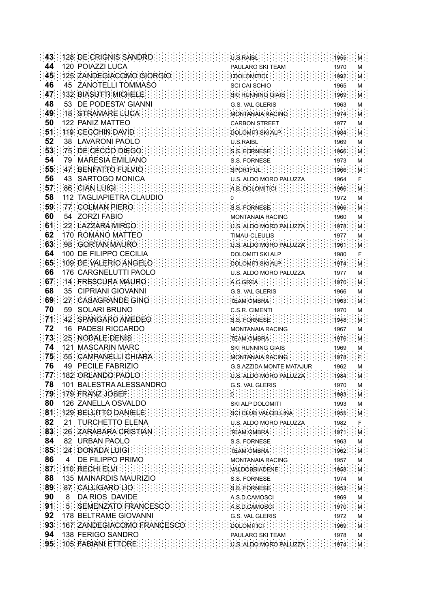| 43              |     | 128: DE CRIGNIS SANDRO                                                                                                                                                                                                                                                                                                                                                                            |  |  |  | U.S.RAIBL .                             |                          |  |                                                   |              |                                        |
|-----------------|-----|---------------------------------------------------------------------------------------------------------------------------------------------------------------------------------------------------------------------------------------------------------------------------------------------------------------------------------------------------------------------------------------------------|--|--|--|-----------------------------------------|--------------------------|--|---------------------------------------------------|--------------|----------------------------------------|
| 44              |     | <b>120 POIAZZI LUCA</b>                                                                                                                                                                                                                                                                                                                                                                           |  |  |  |                                         | PAULARO SKI TEAM         |  |                                                   | 1970         | М                                      |
| 45              |     | 125 ZANDEGIACOMO GIORGIO                                                                                                                                                                                                                                                                                                                                                                          |  |  |  |                                         | I DOLOMITICI.            |  |                                                   | 1992         |                                        |
| 46              | 45  | <b>ZANOTELLI TOMMASO</b>                                                                                                                                                                                                                                                                                                                                                                          |  |  |  |                                         | SCI CAI SCHIO            |  |                                                   | 1965         | М                                      |
| 47              |     | 132: BIASUTTI MICHELE                                                                                                                                                                                                                                                                                                                                                                             |  |  |  |                                         | SKI RUNNING GIAIS        |  |                                                   | 1969         |                                        |
| 48              |     | 53 DE PODESTA' GIANNI                                                                                                                                                                                                                                                                                                                                                                             |  |  |  |                                         | <b>G.S. VAL GLERIS</b>   |  |                                                   | 1963         | М                                      |
| 49              |     | :18 : STRAMARE LUCA:                                                                                                                                                                                                                                                                                                                                                                              |  |  |  |                                         | MONTANAIA RACING         |  |                                                   | 1974         | M-                                     |
| 50              |     | 122 PANIZ MATTEO                                                                                                                                                                                                                                                                                                                                                                                  |  |  |  |                                         | <b>CARBON STREET</b>     |  |                                                   | 1977         | М                                      |
| 51              |     | 119: CECCHIN DAVID                                                                                                                                                                                                                                                                                                                                                                                |  |  |  |                                         | DOLOMITI SKI ALP         |  |                                                   | 1984         | M                                      |
| 52              | 38  | <b>LAVARONI PAOLO</b>                                                                                                                                                                                                                                                                                                                                                                             |  |  |  | <b>U.S.RAIBL</b>                        |                          |  |                                                   | 1969         | м                                      |
| 53 <sup>1</sup> |     | 75 DE CECCO DIEGO                                                                                                                                                                                                                                                                                                                                                                                 |  |  |  |                                         | S.S. FORNESE:            |  |                                                   | 1966         | Μ.                                     |
| 54              | 79  | <b>MARESIA EMILIANO</b>                                                                                                                                                                                                                                                                                                                                                                           |  |  |  |                                         | <b>S.S. FORNESE</b>      |  |                                                   | 1973         | М                                      |
| 55              |     | 47 : BENFATTO FULVIO                                                                                                                                                                                                                                                                                                                                                                              |  |  |  |                                         | SPORTFUL                 |  |                                                   | 1966         | M.                                     |
| 56              | 43  | <b>SARTOGO MONICA</b>                                                                                                                                                                                                                                                                                                                                                                             |  |  |  |                                         | U.S. ALDO MORO PALUZZA   |  |                                                   | 1964         |                                        |
| 57              |     | 86 CIAN LUIGI.                                                                                                                                                                                                                                                                                                                                                                                    |  |  |  |                                         |                          |  |                                                   |              |                                        |
| 58              |     | 112 TAGLIAPIETRA CLAUDIO                                                                                                                                                                                                                                                                                                                                                                          |  |  |  |                                         | A S. DOLOMITICI.         |  |                                                   | 1966         |                                        |
| 59.             |     | :77 : COLMAN PIERO:                                                                                                                                                                                                                                                                                                                                                                               |  |  |  | 0                                       |                          |  |                                                   | 1972         | м                                      |
|                 |     |                                                                                                                                                                                                                                                                                                                                                                                                   |  |  |  |                                         | S.S. FORNESE             |  |                                                   | 1966         |                                        |
| 60              |     | 54 ZORZI FABIO                                                                                                                                                                                                                                                                                                                                                                                    |  |  |  |                                         | <b>MONTANAIA RACING</b>  |  |                                                   | 1960         | М                                      |
| 61              |     | 22 LAZZARA MIRCO:                                                                                                                                                                                                                                                                                                                                                                                 |  |  |  |                                         | U.S. ALDO MORO PALUZZA   |  |                                                   | 1978         | Μ.                                     |
| 62              |     | 170 ROMANO MATTEO                                                                                                                                                                                                                                                                                                                                                                                 |  |  |  |                                         | TIMAU-CLEULIS            |  |                                                   | 1977         | М                                      |
| 63              |     | :98 : GORTAN MAURO                                                                                                                                                                                                                                                                                                                                                                                |  |  |  |                                         | U.S. ALDO MORO PALUZZA:  |  |                                                   | 1961         | м.                                     |
| 64              |     | 100 DE FILIPPO CECILIA                                                                                                                                                                                                                                                                                                                                                                            |  |  |  |                                         | <b>DOLOMITI SKI ALP</b>  |  |                                                   | 1980         |                                        |
| 65              |     | 109: DE VALERIO ANGELO                                                                                                                                                                                                                                                                                                                                                                            |  |  |  |                                         | DOLOMITI SKI ALP         |  |                                                   | 1974         |                                        |
| 66              |     | 176 CARGNELUTTI PAOLO                                                                                                                                                                                                                                                                                                                                                                             |  |  |  |                                         | U.S. ALDO MORO PALUZZA   |  |                                                   | 1977         | м                                      |
| 67              |     | 14 FRESCURA MAURO                                                                                                                                                                                                                                                                                                                                                                                 |  |  |  |                                         | A C GREA                 |  |                                                   | 1970         | Μ.                                     |
| 68              |     | 35 CIPRIANI GIOVANNI                                                                                                                                                                                                                                                                                                                                                                              |  |  |  |                                         | <b>G.S. VAL GLERIS</b>   |  |                                                   | 1966         | М                                      |
| 69              |     | :27 : CASAGRANDE GINO                                                                                                                                                                                                                                                                                                                                                                             |  |  |  |                                         | TEAM OMBRA               |  |                                                   | 1963         | M.                                     |
| 70              | 59  | <b>SOLARI BRUNO</b>                                                                                                                                                                                                                                                                                                                                                                               |  |  |  |                                         | C.S.R. CIMENTI           |  |                                                   | 1970         | М                                      |
| 71              | :42 | SPANGARO AMEDEO:                                                                                                                                                                                                                                                                                                                                                                                  |  |  |  |                                         | S.S. FORNESE             |  |                                                   | 1948         | м                                      |
| 72              | 16  | <b>PADESI RICCARDO</b>                                                                                                                                                                                                                                                                                                                                                                            |  |  |  |                                         | <b>MONTANAIA RACING</b>  |  |                                                   | 1967         | М                                      |
| 73              |     | 25 NODALE DENIS                                                                                                                                                                                                                                                                                                                                                                                   |  |  |  |                                         | <b>TEAM OMBRA</b>        |  |                                                   | 1976         | M.                                     |
| 74              | 121 | <b>MASCARIN MARC</b>                                                                                                                                                                                                                                                                                                                                                                              |  |  |  |                                         | SKI RUNNING GIAIS        |  |                                                   | 1969         | м                                      |
| 75              |     | 55 CAMPANELLI CHIARA                                                                                                                                                                                                                                                                                                                                                                              |  |  |  |                                         | MONTANAIA RACING         |  |                                                   | 1978         |                                        |
| 76              | 49  | PECILE FABRIZIO                                                                                                                                                                                                                                                                                                                                                                                   |  |  |  |                                         | G.S.AZZIDA MONTE MATAJUR |  |                                                   | 1962         | М                                      |
|                 |     | $\mathbb{E}[77]$ (182) ORLANDO PAOLO $\mathbb{E}[\mathbb{E}[\mathbb{E}[\mathbb{E}[\mathbb{E}[\mathbb{E}[\mathbb{E}[\mathbb{E}[\mathbb{E}[\mathbb{E}[\mathbb{E}[\mathbb{E}[\mathbb{E}[\mathbb{E}[\mathbb{E}[\mathbb{E}[\mathbb{E}[\mathbb{E}[\mathbb{E}[\mathbb{E}[\mathbb{E}[\mathbb{E}[\mathbb{E}[\mathbb{E}[\mathbb{E}[\mathbb{E}[\mathbb{E}[\mathbb{E}[\mathbb{E}[\mathbb{E}[\mathbb{E}[\math$ |  |  |  |                                         |                          |  |                                                   |              | $-M$                                   |
| 78              |     | 101 BALESTRA ALESSANDRO                                                                                                                                                                                                                                                                                                                                                                           |  |  |  |                                         | G.S. VAL GLERIS          |  |                                                   | 1970         | м                                      |
|                 |     | 79 179 FRANZ JOSEF [11111]                                                                                                                                                                                                                                                                                                                                                                        |  |  |  | <b>特种中国的用的通信用的</b>                      |                          |  |                                                   |              | $\frac{1}{2}$ : 1983 M                 |
| 80              |     | 126 ZANELLA OSVALDO                                                                                                                                                                                                                                                                                                                                                                               |  |  |  |                                         | SKI ALP DOLOMITI         |  |                                                   | 1993         | м                                      |
|                 |     | <b>81 129 BELLITTO DANIELE IN LITTLE</b>                                                                                                                                                                                                                                                                                                                                                          |  |  |  | $\cdots$ sciclus valcellina             |                          |  |                                                   |              | $1955$ M                               |
| 82              |     | 21 TURCHETTO ELENA                                                                                                                                                                                                                                                                                                                                                                                |  |  |  |                                         | U.S. ALDO MORO PALUZZA   |  |                                                   | 1982         | F                                      |
|                 |     | 83:26:ZARABARA CRISTIAN:                                                                                                                                                                                                                                                                                                                                                                          |  |  |  | $\cdots$ TEAM OMBRA $\cdots$            |                          |  |                                                   | 1971         | M                                      |
| 84              |     | 82 URBAN PAOLO                                                                                                                                                                                                                                                                                                                                                                                    |  |  |  |                                         | S.S. FORNESE             |  |                                                   | 1963         | м                                      |
|                 |     | 85 : 24 : DONADA LUIGI :: 1                                                                                                                                                                                                                                                                                                                                                                       |  |  |  |                                         | TEAM OMBRA               |  |                                                   | 1962         | M                                      |
| 86              |     | 4 DE FILIPPO PRIMO                                                                                                                                                                                                                                                                                                                                                                                |  |  |  |                                         | MONTANAIA RACING         |  |                                                   | 1957         | М                                      |
|                 |     | 87 110 RECHI ELVI                                                                                                                                                                                                                                                                                                                                                                                 |  |  |  | $\therefore$ : valdobbiadene            |                          |  |                                                   |              | $\frac{1}{2}$ : 1958 $\frac{1}{2}$ M : |
| 88              |     | 135 MAINARDIS MAURIZIO                                                                                                                                                                                                                                                                                                                                                                            |  |  |  |                                         | S.S. FORNESE             |  |                                                   | 1974         | M                                      |
| 89              |     | 87 CALLIGARO LIO                                                                                                                                                                                                                                                                                                                                                                                  |  |  |  |                                         | $S$ S FORNESE :          |  |                                                   | 1953         | M                                      |
| 90              |     | 8 DA RIOS DAVIDE                                                                                                                                                                                                                                                                                                                                                                                  |  |  |  |                                         | A.S.D.CAMOSCI            |  |                                                   | 1969         | м                                      |
|                 |     | 91   5   SEMENZATO FRANCESCO                                                                                                                                                                                                                                                                                                                                                                      |  |  |  | $\therefore$ A.S.D.CAMOSCI $\therefore$ |                          |  |                                                   | $\cdot$ 1970 | M                                      |
|                 |     | 92 178 BELTRAME GIOVANNI                                                                                                                                                                                                                                                                                                                                                                          |  |  |  |                                         | G.S. VAL GLERIS          |  |                                                   | 1972         | М                                      |
|                 |     | 93 167 ZANDEGIACOMO FRANCESCO                                                                                                                                                                                                                                                                                                                                                                     |  |  |  |                                         | <b>DOLOMITICI</b>        |  |                                                   | 1969         | M                                      |
| 94              |     | 138 FERIGO SANDRO                                                                                                                                                                                                                                                                                                                                                                                 |  |  |  |                                         | PAULARO SKI TEAM         |  |                                                   | 1978         | Μ                                      |
|                 |     | $95$ : 105 FABIANI ETTORE                                                                                                                                                                                                                                                                                                                                                                         |  |  |  |                                         |                          |  | $: 0.8$ ALDO MORO PALUZZA $: 1: 1: 1974$ $: 10.1$ |              |                                        |
|                 |     |                                                                                                                                                                                                                                                                                                                                                                                                   |  |  |  |                                         |                          |  |                                                   |              |                                        |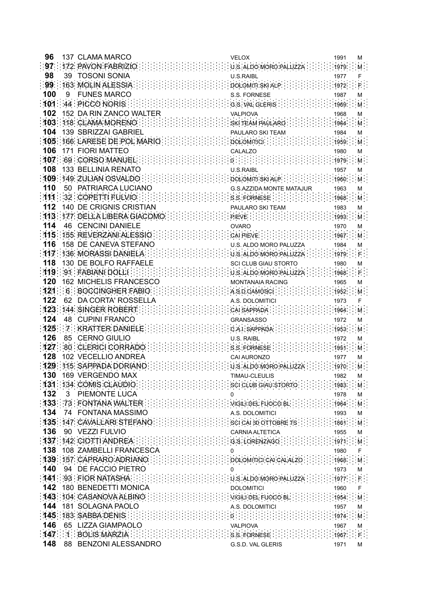| 96   |    | 137 CLAMA MARCO                | VELOX                                                                                           |                                 | 1991   | М                  |
|------|----|--------------------------------|-------------------------------------------------------------------------------------------------|---------------------------------|--------|--------------------|
| 97   |    | 172 PAVON FABRIZIO.            | U.S. ALDO MORO PALUZZA                                                                          |                                 | 1979   | М.                 |
| 98   | 39 | <b>TOSONI SONIA</b>            | <b>U.S.RAIBL</b>                                                                                |                                 | 1977   |                    |
| 99   |    | 163 MOLIN ALESSIA              | DOLOMITI SKI ALP                                                                                |                                 | 1972   |                    |
| 100  | 9  | <b>FUNES MARCO</b>             | <b>S.S. FORNESE</b>                                                                             |                                 | 1987   |                    |
| 101  |    | 44 PICCO NORIS                 |                                                                                                 |                                 |        | М                  |
|      |    |                                | G.S. VAL GLERIS.                                                                                |                                 | 1969   | м.                 |
| 102  |    | 152 DA RIN ZANCO WALTER        | <b>VALPIOVA</b>                                                                                 |                                 | 1968   | М                  |
|      |    | 103: 118: CLAMA MORENO         | SKI TEAM PAULARO                                                                                |                                 | 1964   | M.                 |
| 104  |    | 139 SBRIZZAI GABRIEL           | PAULARO SKI TEAM                                                                                |                                 | 1984   | м                  |
|      |    | 105 166 LARESE DE POL MARIO    | DOLOMITICI                                                                                      |                                 | 1959   | M.                 |
| 106  |    | <b>171 FIORI MATTEO</b>        | CALALZO                                                                                         |                                 | 1980   | М                  |
|      |    | 107 69 CORSO MANUEL            |                                                                                                 |                                 | 1979   | M.                 |
| 108  |    | 133 BELLINIA RENATO            | U.S.RAIBL                                                                                       |                                 | 1957   | М                  |
|      |    | 109 149 ZULIAN OSVALDO         | DOLOMITI SKI ALP                                                                                |                                 | 1960   | M.                 |
| 110  |    | 50 PATRIARCA LUCIANO           | <b>G.S.AZZIDA MONTE MATAJUR</b>                                                                 |                                 | 1963   | м                  |
| 111  |    | 32 COPETTI FULVIO              | S.S. FORNESE                                                                                    |                                 | 1968   | M.                 |
| 112  |    | <b>140 DE CRIGNIS CRISTIAN</b> | PAULARO SKI TEAM                                                                                |                                 | 1983   | м                  |
|      |    | 113 177 DELLA LIBERA GIACOMO   | $P$ is $V$ . $\cdots$ . $\cdots$                                                                |                                 | 1993   | М.                 |
| 114  |    | 46 CENCINI DANIELE             | <b>OVARO</b>                                                                                    |                                 | 1970   | М                  |
|      |    | 115 155 REVERZANI ALESSIO      | CAI PIEVE.                                                                                      |                                 | 1967   | М.                 |
| 116  |    | 158 DE CANEVA STEFANO          | U.S. ALDO MORO PALUZZA                                                                          |                                 | 1984   | м                  |
| 117. |    | 136: MORASSI DANIELA           | U.S. ALDO MORO PALUZZA                                                                          |                                 | 1979   |                    |
| 118  |    | 130 DE BOLFO RAFFAELE          | <b>SCI CLUB GIAU STORTO</b>                                                                     |                                 | 1980   | М                  |
|      |    | 119 91 FABIANI DOLLI           | U.S. ALDO MORO PALUZZA                                                                          |                                 | 1968   |                    |
| 120  |    | 162 MICHELIS FRANCESCO         | <b>MONTANAIA RACING</b>                                                                         |                                 | 1965   |                    |
| 121  |    | 6 BOCCINGHER FABIO             |                                                                                                 |                                 |        | м                  |
| 122  |    |                                | A S D CAMOSCI                                                                                   |                                 | 1952   | M.                 |
| 123  | 62 | DA CORTA' ROSSELLA             | A.S. DOLOMITICI                                                                                 |                                 | 1973   |                    |
|      |    | 144: SINGER ROBERT             | CAI SAPPADA                                                                                     |                                 | 1964   | M                  |
| 124  |    | 48 CUPINI FRANCO               | <b>GRANSASSO</b>                                                                                |                                 | 1972   | м                  |
| 125  |    | <b>7 KRATTER DANIELE</b>       | CAI SAPPADA                                                                                     |                                 | 1953   | M.                 |
| 126  |    | 85 CERNO GIULIO                | <b>U.S. RAIBL</b>                                                                               |                                 | 1972   | M                  |
| 127  |    | 80 CLERICI CORRADO             | S.S. FORNESE                                                                                    |                                 | 1951   | м.                 |
| 128  |    | 102 VECELLIO ANDREA            | CAI AURONZO                                                                                     |                                 | 1977   | М                  |
| 129  |    | 115: SAPPADA DORIANO           | U.S. ALDO MORO PALUZZA                                                                          |                                 | 1970   |                    |
| 130  |    | 169 VERGENDO MAX               | TIMAU-CI FUI IS                                                                                 |                                 | 1982   | м                  |
|      |    | 131: 134: COMIS CLAUDIO:       | SCI CLUB GIAU STORTO : :                                                                        |                                 | 1983.  | M                  |
| 132  |    | 3 PIEMONTE LUCA                | 0                                                                                               |                                 | 1978   | M                  |
|      |    | 133 73 FONTANA WALTER          | VIGILI DEL FUOCO BL $\cdots$                                                                    |                                 |        | M                  |
|      |    | 134 74 FONTANA MASSIMO         | A.S. DOLOMITICI                                                                                 |                                 | 1993   | М                  |
|      |    | 135 147 CAVALLARI STEFANO :::: | $\{\cdot\}$ : $\{\cdot\}$ : sci cal so ottobre ts: $\{\cdot\}$ : $\{\cdot\}$ : $\{\cdot\}$ 1861 |                                 |        | M                  |
| 136  |    | 90 VEZZI FULVIO                | <b>CARNIA ALTETICA</b>                                                                          |                                 | 1955   | М                  |
|      |    | $137$ : $142$ : CIOTTI ANDREA: | $: G.S.$ LORENZAGO $: \ldots$                                                                   |                                 | : 1971 | $M_{\odot}$        |
|      |    | 138 108 ZAMBELLI FRANCESCA     | 0                                                                                               |                                 | 1980   | F                  |
|      |    | 139 157 CAPRARO ADRIANO :      | DOLOMITICI CAI CALALZO                                                                          |                                 | 1968   | M                  |
| 140  |    | 94 DE FACCIO PIETRO            |                                                                                                 |                                 | 1973   | M                  |
|      |    | $141$ 93 FIOR NATASHA          | $[U, S, ALDO]$ MORO PALUZZA $\cdots$ : : : : : : : 1977 $\cdots$ : : :                          |                                 |        |                    |
| 142  |    | 180 BENEDETTI MONICA           | <b>DOLOMITICI</b>                                                                               |                                 | 1960   | F                  |
|      |    | 143 104 CASANOVA ALBINO        | $\cdots$ : $\cdots$ : $\vee$ igit in DeLi FuoCO BL $\cdots$                                     | $\cdots$ : : : : : : : : 1954 : |        | $M$ :              |
|      |    | 144 181 SOLAGNA PAOLO          | A.S. DOLOMITICI                                                                                 |                                 | 1957   | М                  |
|      |    | <b>145 183 SABBA DENIS</b>     |                                                                                                 |                                 | 1974   | M                  |
| 146  |    | 65 LIZZA GIAMPAOLO             |                                                                                                 |                                 |        |                    |
|      |    | 147 1 BOLIS MARZIA             | <b>VALPIOVA</b>                                                                                 |                                 | 1967   | М<br>$\mathsf F$ . |
| 148  |    |                                | S.S. FORNESE                                                                                    |                                 | 1967   |                    |
|      |    | 88 BENZONI ALESSANDRO          | G.S.D. VAL GLERIS                                                                               |                                 | 1971   | м                  |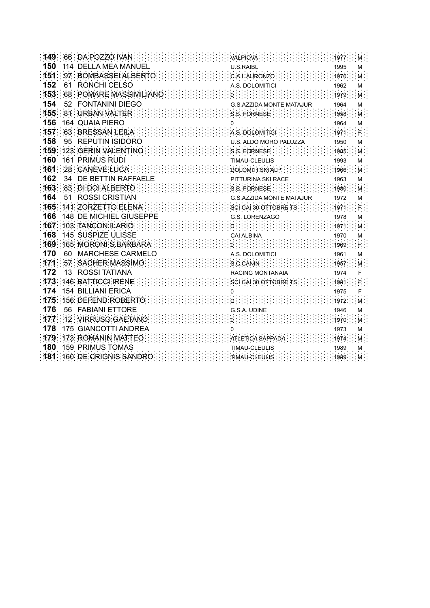| 149. |    | :66 : DA POZZO IVAN         | VALPIOVA                        |      |    |
|------|----|-----------------------------|---------------------------------|------|----|
| 150  |    | 114 DELLA MEA MANUEL        | <b>U.S.RAIBL</b>                | 1995 | м  |
| 151  |    | 97 : BOMBASSEI ALBERTO      | C.A.I. AURONZO                  | 1970 |    |
| 152  | 61 | RONCHI CELSO                | A.S. DOLOMITICI                 | 1962 | М  |
| 153  |    | 68 POMARE MASSIMILIANO      |                                 | 1979 | M. |
| 154  | 52 | <b>FONTANINI DIEGO</b>      | G.S.AZZIDA MONTE MATAJUR        | 1964 | м  |
| 155  |    | :81 : URBAN VALTER :        | S.S. FORNESE:                   | 1958 |    |
| 156  |    | <b>164 QUAIA PIERO</b>      |                                 | 1964 | М  |
| 157  |    | 63 BRESSAN LEILA            | A S. DOLOMITICI                 | 1971 |    |
| 158  | 95 | <b>REPUTIN ISIDORO</b>      | U.S. ALDO MORO PALUZZA          | 1950 | М  |
| 159  |    | 123 GERIN VALENTINO         | S.S. FORNESE                    | 1985 |    |
| 160  |    | <b>161 PRIMUS RUDI</b>      | TIMAU-CLEULIS                   | 1993 | м  |
| 161  |    | :28 : CANEVE LUCA           | DOLOMITI SKI ALP                | 1966 | M. |
| 162  | 34 | DE BETTIN RAFFAELE          | PITTURINA SKI RACE              | 1963 | М  |
| 163  |    | 83 DI DOI ALBERTO           | S.S. FORNESE.                   | 1980 | м  |
| 164  | 51 | <b>ROSSI CRISTIAN</b>       | <b>G.S.AZZIDA MONTE MATAJUR</b> | 1972 | М  |
| 165  |    | 141 ZORZETTO ELENA.         | SCI CAI 30 OTTOBRE TS:          | 1971 |    |
| 166  |    | 148 DE MICHIEL GIUSEPPE     | G.S. LORENZAGO                  | 1978 | М  |
| 167  |    | 103 TANCON ILARIO           |                                 | 1971 | M  |
| 168  |    | <b>145 SUSPIZE ULISSE</b>   | <b>CAI ALBINA</b>               | 1970 | М  |
| 169  |    | 165: MORONI S BARBARA       | :0:                             | 1969 |    |
| 170  | 60 | <b>MARCHESE CARMELO</b>     | A.S. DOLOMITICI                 | 1961 | М  |
| 171  |    | :57 : SACHER MASSIMO :      | S C CANIN                       | 1957 |    |
| 172  | 13 | <b>ROSSI TATIANA</b>        | <b>RACING MONTANAIA</b>         | 1974 |    |
| 173  |    | 146 BATTICCI IRENE          | SCI CAI 30 OTTOBRE TS           | 1981 |    |
| 174  |    | <b>154 BILLIANI ERICA</b>   | 0                               | 1975 |    |
| 175  |    | 156: DEFEND ROBERTO         |                                 | 1972 |    |
| 176  | 56 | <b>FABIANI ETTORE</b>       | G.S.A. UDINE                    | 1946 | М  |
| 177  |    | 12: VIRRUSO GAETANO         |                                 | 1970 |    |
| 178  |    | <b>175 GIANCOTTI ANDREA</b> |                                 | 1973 | М  |
| 179  |    | 173 ROMANIN MATTEO          | ATLETICA SAPPADA                | 1974 | м: |
| 180  |    | <b>159 PRIMUS TOMAS</b>     | TIMAU-CLEULIS                   | 1989 | М  |
| 181  |    | 160 DE CRIGNIS SANDRO:      | TIMAU-CLEULIS                   | 1989 |    |
|      |    |                             |                                 |      |    |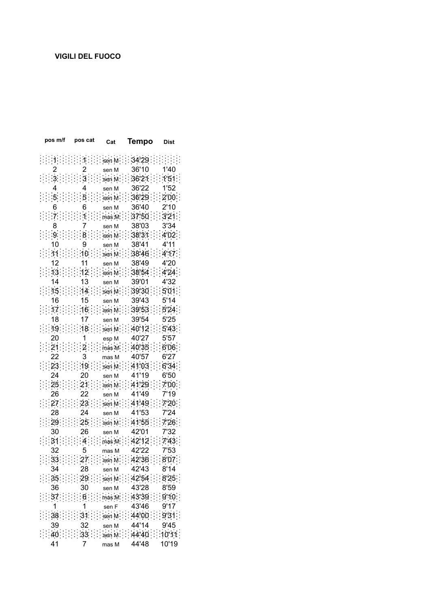| pos m/f | pos cat | Cat    | Tempo                                                             | Dist  |
|---------|---------|--------|-------------------------------------------------------------------|-------|
|         |         | sen M  | 34'29.                                                            |       |
|         |         | sen M  | 36'10                                                             | 1'40  |
|         |         | sen M  | 36'21                                                             | 1'51. |
|         |         | sen M  | 36'22                                                             | 1'52  |
|         |         | sen M  | 36'29                                                             | 2'00. |
|         |         | sen M  | 36'40                                                             | 2'10  |
|         |         | nas M  | 37'50                                                             | 3'21  |
|         |         |        | 38'03                                                             | 3'34  |
|         |         | sen M  | 38'31                                                             | 4'02  |
|         |         | sen M  | 38'41                                                             | 4'11  |
|         | 10      | sen M  | 38'46                                                             | 4'17  |
|         |         | sen M  |                                                                   | 4'20  |
|         |         | sen M  | 38'49<br>38'54                                                    | 4'24  |
| 14      |         | sen M. |                                                                   | 4'32  |
| 15      | 13      | sen M  | 39'01                                                             |       |
|         | 14      | sen M  | 39'30                                                             | 5'01  |
| 16      | 15      | sen M  | 39'43                                                             | 5'14  |
| 17.     | 16      | sen M  | 39'53.                                                            | 5'24. |
| 18      | 17      | sen M  | 39'54                                                             | 5'25  |
| 19      |         | sen M  | 40'12                                                             | 5'43  |
| 20      |         | esp M  | 40'27                                                             | 5'57  |
|         |         | mas M. | 40'35                                                             | 6'06  |
| 22      | 3       | mas M  | 40'57                                                             | 6'27  |
| 23      | 19      | sen M  | 41'03                                                             | 6'34  |
| 24      | 20      | sen M  | 41'19                                                             | 6'50  |
| 25      | 21      | sen M  | 41'29                                                             | 7'00. |
| 26      |         | sen M  | 41'49                                                             | 7'19  |
| 27      | 23      | sen M  | 41'49                                                             | 7'20. |
| 28      | 24      | sen M  | 41'53                                                             | 7'24  |
| 29      | 25      | sen M  | 41'55                                                             | 7'26  |
| 30      | 26      | sen M  | 42'01                                                             | 7'32  |
|         |         | mas M  | 42'12                                                             | 7'43. |
|         |         | mas M  | 42'22                                                             | 7'53  |
|         | −.      | sen M  | 42'36                                                             | 8'07  |
| 34      | 28      | sen M  | 42'43 8'14                                                        |       |
|         |         |        | $35$ : $29$ : $\frac{1}{29}$ : $42\frac{5}{4}$ : $825$            |       |
| 36      | 30      | sen M  | 43'28                                                             | 8'59  |
| 37      |         |        | $6$ : $\frac{1}{2}$ mas M : : 43'39 : : 9'10 :                    |       |
| 1       | 1       |        | sen F 43'46                                                       | 9'17  |
|         |         |        | $\therefore$ 38 : : : : : 31 : : : sep M : : : 44'00 : : : 9'31 : |       |
| 39      | 32      |        | sen M 44'14                                                       | 9'45  |
|         |         |        | $40$ : $33$ : $33$ : $4440$ : $1011$                              |       |
| 41      | 7       | mas M  | 44'48                                                             | 10'19 |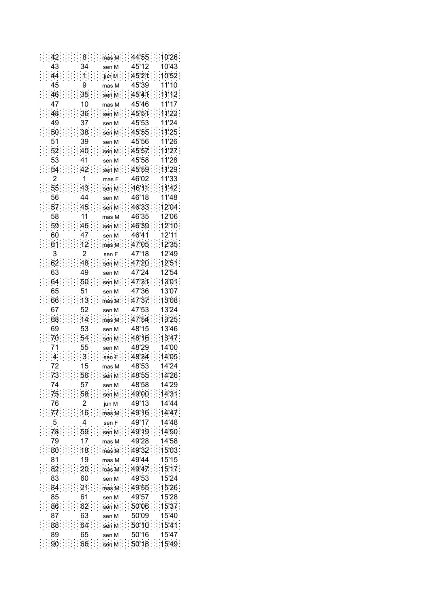$\frac{1}{2}$ : 42:  $\frac{1}{2}$ :  $8$  :  $\frac{1}{2}$  mas M:  $\frac{1}{2}$  44'55:  $\frac{1}{2}$ 10'26: 45'12 10'43 43 34 sen M  $44:1:1:1:$  $45'21:10'52$  $\frac{1}{2}$  jun M 45'39  $11'10$ 45 9 mas M  $46$ 35 sen M 45'41  $11'12$ 47 10 45'46 11'17 mas M  $\therefore 48 : 36 :$ sen M 45.51  $11'22$ 45'53 11'24 49 37 sen M  $50...38$ sen M  $45.55$  : 1125 51 45'56 11'26 39 sen M  $\frac{1}{27}$ : 52: : : : : : 40: : : : sen M: : : 45'57: : : 11'27: 45'58 11'28 53 41 sen M  $54$  $42$ 45'59 11'29 sen M  $\overline{2}$  $\mathbf{1}$ 46'02 11'33 mas F 46'11  $55:1:43$  $11'42$ sen M 56 44 46'18 11'48 sen M  $57 : 45$ 46'33 sen M  $12'04$ 58  $11$ mas M 46'35 12'06  $59 : 46$ 46'39  $12'10$ sen M  $12'11$ 60 47 sen M 46'41  $12'35$  $61:12: \dots$  mas M 47.05 3  $\overline{2}$ 47'18 12'49 sen F  $62$  : : : : 48  $12'51$ 47'20 sen M 63 49 47'24 12'54 sen M  $64:30:30:30$ 47'31 : 13'01 47'36 13'07 51 65 sen M  $66...13$ mas M 47'37  $13'08$ 67 52 sen M 47'53 13'24  $47.54 : 13.25$  $68:14$ mas M 48'15 13'46 69 53 sen M  $\therefore 70$   $\therefore 54$ 48'16  $13'47$ sen M 48'29 14'00  $71$ 55 sen M  $\cdot$  3 sen F  $14'05$  $\sim$  4 48'34 72 15 48'53 14'24 mas M  $73$  : :::: 56 :::: sen M: 48'55 : 14'26 ÷. 74 57 48'58 14'29 sen M  $\therefore 75$  :  $58$  : 49'00 14'31 sen M 76  $\overline{2}$ 49'13 14'44 jun M  $-77$  $16$ 49'16 14'47 mas M 5  $\overline{4}$ 49'17 14'48 sen F  $: 78: 59$  $14'50$ sen M 49'19  $\mathcal{L}_{\mathcal{I}}$ 79  $17$ 49'28 14'58 mas M  $\frac{1}{2}$  : 80  $18$ mas M 49'32  $:15'03$ 49'44 81 19 mas M 15'15  $82.20$ mas M 49'47  $15'17$ 49'53 83 60 15'24 sen M  $84:121$  $mas M$  $-49'55$  $15'26$ 85 61 49'57 15'28 sen M  $86...62$  $50'06$  $:15'37$ sen M 87 63 50'09 15'40 sen M  $88:64$  $50'10$  :  $15'41$ sen M 50'16 15'47 89 65 sen M  $90:1:66:$  sen M:  $50'18:15'49$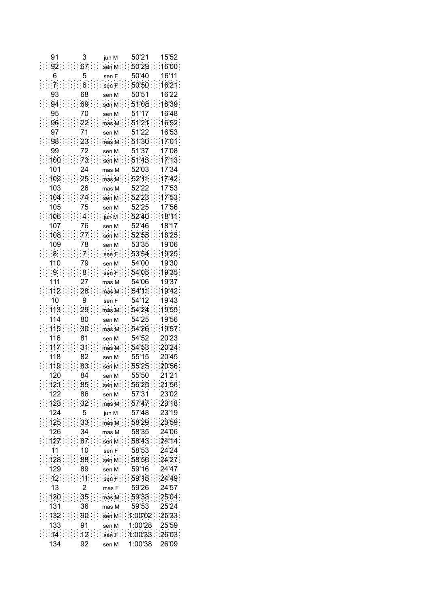| 91     |                 | jun M                             | 50'21                       | 15'52 |
|--------|-----------------|-----------------------------------|-----------------------------|-------|
|        | 67              | sen M                             | 50'29                       | 16'00 |
|        |                 | sen F                             | 50'40                       | 16'11 |
|        | 6.              | sen F                             | 50'50                       | 16'21 |
| 93     | 68              | sen M                             | 50'51                       | 16'22 |
| 94     | 69              | sen M                             | 51.08                       | 16'39 |
| 95     | 70              | sen M                             | 51'17                       | 16'48 |
| 96     | 22              | mas M                             | 51'21                       | 16'52 |
| 97     | 71              | sen M                             | 51'22                       | 16'53 |
| 98     | 23              | mas:M                             | 51'30                       | 17'01 |
| 99     | 72              | sen M                             | 51'37                       | 17'08 |
| 100    | 73              | sen M                             | 51'43                       | 17'13 |
| 101    | 24              | mas M                             | 52'03                       | 17'34 |
| 102    | 25              | mas M                             | 52'11                       | 17'42 |
| 103    | 26              | mas M                             | 52'22                       | 17'53 |
| 104    | 74              | sen M                             | 52'23                       | 17'53 |
| 105    | 75              | sen M                             | 52'25                       | 17'56 |
| 106    | $\overline{4}$  | jun M                             | 52'40                       | 18'11 |
| 107    | 76              | sen M                             | 52'46                       | 18'17 |
| 108    | 77              | sen M                             | 52'55                       | 18'25 |
| 109    | 78              | sen M                             | 53'35                       | 19'06 |
| 8      | 7               | sen F                             | 53'54                       | 1925  |
| 110    | 79              | sen M                             | 54'00                       | 19'30 |
| 9      | 8               | sen F                             | 54'05                       | 19'35 |
| 111    | 27              | mas M                             | 54'06                       | 19'37 |
| 112    | 28              | mas M                             | 54'11                       | 19'42 |
|        | 9               | sen F                             | 54'12                       | 19'43 |
| 113    | 29.             | mas M                             | 54.24                       | 19'55 |
| 114    | 80              | sen M                             | 54'25                       | 19'56 |
| 115    | 30              | mas M;                            | 54'26                       | 19'57 |
| 116    | 81              | sen M                             | 54'52                       | 20'23 |
| 117    | 31              | mas M                             | 54'53                       | 20'24 |
| 118    | 82              | sen M                             | 55'15                       | 20'45 |
| 119    | 83              | sen M                             | 55'25                       | 20'56 |
| 120    | 84              | sen M                             | 55'50                       | 21'21 |
|        |                 | $121:$ : 85 : sen M : 5625 : 2156 |                             |       |
| 122    | 86              | sen M                             | 57'31                       | 23'02 |
| 123    | 32.             | mas M                             | 57'47                       | 23'18 |
| 124    | 5               | jun M                             | 57'48                       | 23'19 |
| 125    | 33.             | mas M                             | 58'29                       | 23'59 |
| 126    | 34              | mas M                             | 58'35                       | 24'06 |
| 127    | 87.             | sen M : 5843 :                    |                             | 24'14 |
| 11     | 10              | sen F                             | 58'53                       | 24'24 |
| $-128$ | 88 <sup>°</sup> | sen M                             | .5856                       | 24'27 |
| 129    | 89              | sen M                             | 59'16                       | 24'47 |
| 12     | 11              | sen F                             | :59'18:24'49                |       |
| 13     | 2               | mas F                             | 59'26                       | 24'57 |
| 130.   | 35.             |                                   | mas M :: $59'33$ :: $25'04$ |       |
| 131    | 36              | mas M                             | 59'53                       | 25'24 |
| 132.   | 90 <sub>1</sub> | sen M                             | 1:00'02                     | 25'33 |
| 133    | 91              | sen M                             | 1:00'28                     | 25'59 |
| 14     | 12.             | sen F                             | 1:00'33                     | 26'03 |
| 134    | 92              | sen M                             | 1:00'38                     | 26'09 |